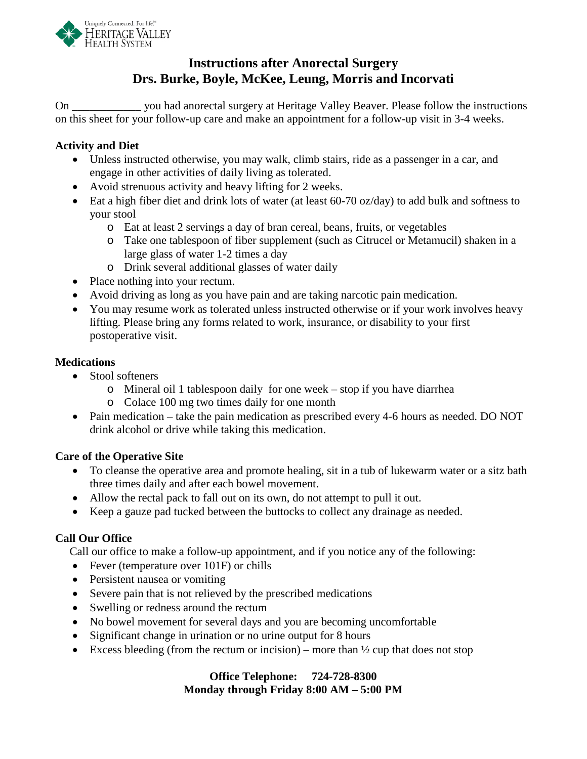

# **Instructions after Anorectal Surgery Drs. Burke, Boyle, McKee, Leung, Morris and Incorvati**

On \_\_\_\_\_\_\_\_\_\_\_\_ you had anorectal surgery at Heritage Valley Beaver. Please follow the instructions on this sheet for your follow-up care and make an appointment for a follow-up visit in 3-4 weeks.

### **Activity and Diet**

- Unless instructed otherwise, you may walk, climb stairs, ride as a passenger in a car, and engage in other activities of daily living as tolerated.
- Avoid strenuous activity and heavy lifting for 2 weeks.
- Eat a high fiber diet and drink lots of water (at least 60-70 oz/day) to add bulk and softness to your stool
	- o Eat at least 2 servings a day of bran cereal, beans, fruits, or vegetables
	- o Take one tablespoon of fiber supplement (such as Citrucel or Metamucil) shaken in a large glass of water 1-2 times a day
	- o Drink several additional glasses of water daily
- Place nothing into your rectum.
- Avoid driving as long as you have pain and are taking narcotic pain medication.
- You may resume work as tolerated unless instructed otherwise or if your work involves heavy lifting. Please bring any forms related to work, insurance, or disability to your first postoperative visit.

#### **Medications**

- Stool softeners
	- o Mineral oil 1 tablespoon daily for one week stop if you have diarrhea
	- o Colace 100 mg two times daily for one month
- Pain medication take the pain medication as prescribed every 4-6 hours as needed. DO NOT drink alcohol or drive while taking this medication.

## **Care of the Operative Site**

- To cleanse the operative area and promote healing, sit in a tub of lukewarm water or a sitz bath three times daily and after each bowel movement.
- Allow the rectal pack to fall out on its own, do not attempt to pull it out.
- Keep a gauze pad tucked between the buttocks to collect any drainage as needed.

#### **Call Our Office**

Call our office to make a follow-up appointment, and if you notice any of the following:

- Fever (temperature over 101F) or chills
- Persistent nausea or vomiting
- Severe pain that is not relieved by the prescribed medications
- Swelling or redness around the rectum
- No bowel movement for several days and you are becoming uncomfortable
- Significant change in urination or no urine output for 8 hours
- Excess bleeding (from the rectum or incision) more than  $\frac{1}{2}$  cup that does not stop

## **Office Telephone: 724-728-8300 Monday through Friday 8:00 AM – 5:00 PM**